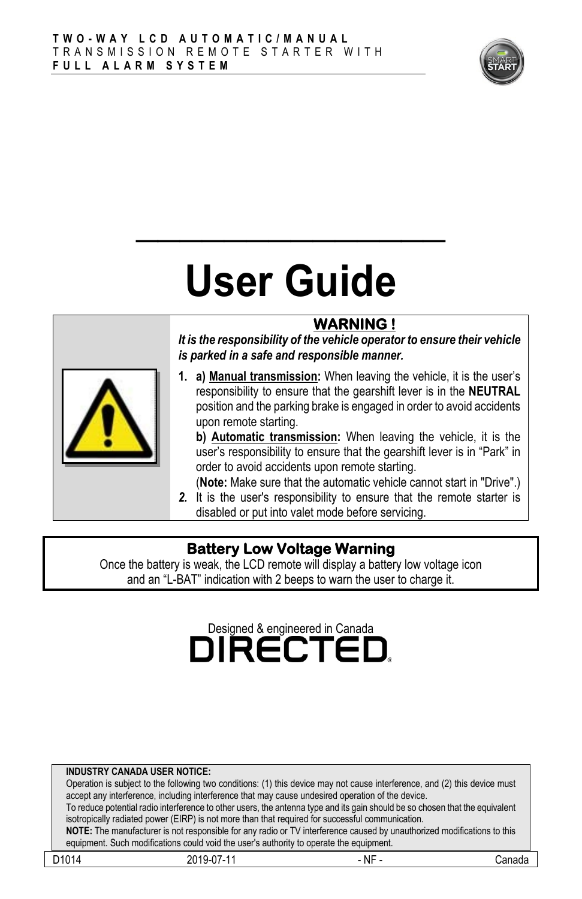

# **User Guide**

**\_\_\_\_\_\_\_\_\_\_\_\_\_\_**

## **WARNING !**

*It is the responsibility of the vehicle operator to ensure their vehicle is parked in a safe and responsible manner.*

**1. a) Manual transmission:** When leaving the vehicle, it is the user's responsibility to ensure that the gearshift lever is in the **NEUTRAL** position and the parking brake is engaged in order to avoid accidents upon remote starting.

**b) Automatic transmission:** When leaving the vehicle, it is the user's responsibility to ensure that the gearshift lever is in "Park" in order to avoid accidents upon remote starting.

(**Note:** Make sure that the automatic vehicle cannot start in "Drive".)

*2.* It is the user's responsibility to ensure that the remote starter is disabled or put into valet mode before servicing.

#### **Battery Low Voltage Warning**

Once the battery is weak, the LCD remote will display a battery low voltage icon and an "L-BAT" indication with 2 beeps to warn the user to charge it.

# Designed & engineered in Canada<br> **DIRECTEL**

#### **INDUSTRY CANADA USER NOTICE:**

Operation is subject to the following two conditions: (1) this device may not cause interference, and (2) this device must accept any interference, including interference that may cause undesired operation of the device. To reduce potential radio interference to other users, the antenna type and its gain should be so chosen that the equivalent isotropically radiated power (EIRP) is not more than that required for successful communication.

**NOTE:** The manufacturer is not responsible for any radio or TV interference caused by unauthorized modifications to this equipment. Such modifications could void the user's authority to operate the equipment.

| D <sub>101</sub><br>. | ы.<br>. | $\overline{\phantom{a}}$<br>Νŀ |  |
|-----------------------|---------|--------------------------------|--|
|                       |         |                                |  |

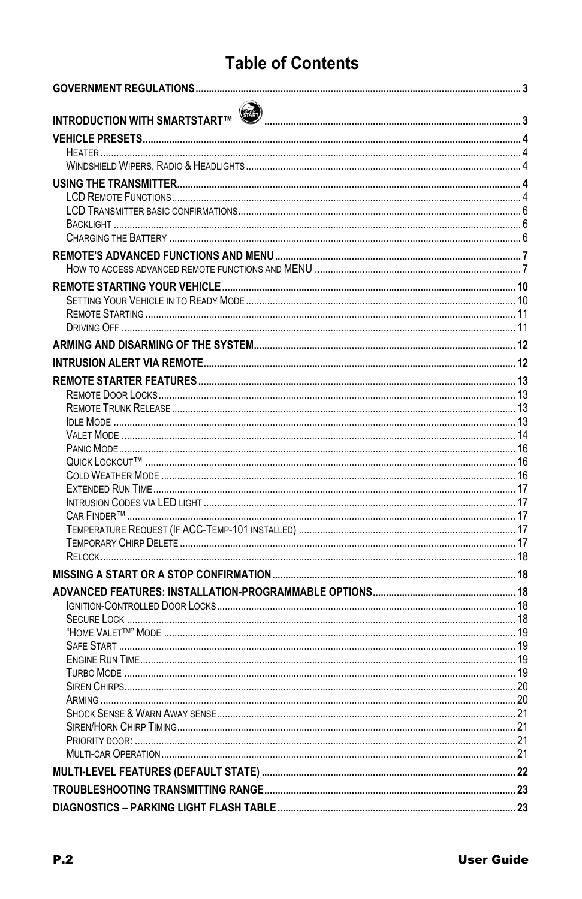## **Table of Contents**

| INTRODUCTION WITH SMARTSTART™ (त्या तालाला साम्राज्ञा साम्राज्ञा साम्राज्ञा साम्राज्ञा साम्राज्ञा साम्राज्ञा अ |  |
|----------------------------------------------------------------------------------------------------------------|--|
|                                                                                                                |  |
|                                                                                                                |  |
|                                                                                                                |  |
|                                                                                                                |  |
|                                                                                                                |  |
|                                                                                                                |  |
|                                                                                                                |  |
|                                                                                                                |  |
|                                                                                                                |  |
|                                                                                                                |  |
|                                                                                                                |  |
|                                                                                                                |  |
|                                                                                                                |  |
|                                                                                                                |  |
|                                                                                                                |  |
|                                                                                                                |  |
|                                                                                                                |  |
|                                                                                                                |  |
|                                                                                                                |  |
|                                                                                                                |  |
|                                                                                                                |  |
|                                                                                                                |  |
|                                                                                                                |  |
|                                                                                                                |  |
|                                                                                                                |  |
|                                                                                                                |  |
|                                                                                                                |  |
|                                                                                                                |  |
|                                                                                                                |  |
|                                                                                                                |  |
|                                                                                                                |  |
|                                                                                                                |  |
|                                                                                                                |  |
|                                                                                                                |  |
|                                                                                                                |  |
|                                                                                                                |  |
|                                                                                                                |  |
|                                                                                                                |  |
|                                                                                                                |  |
|                                                                                                                |  |
|                                                                                                                |  |
|                                                                                                                |  |
|                                                                                                                |  |
|                                                                                                                |  |
|                                                                                                                |  |
|                                                                                                                |  |
|                                                                                                                |  |
|                                                                                                                |  |
|                                                                                                                |  |
|                                                                                                                |  |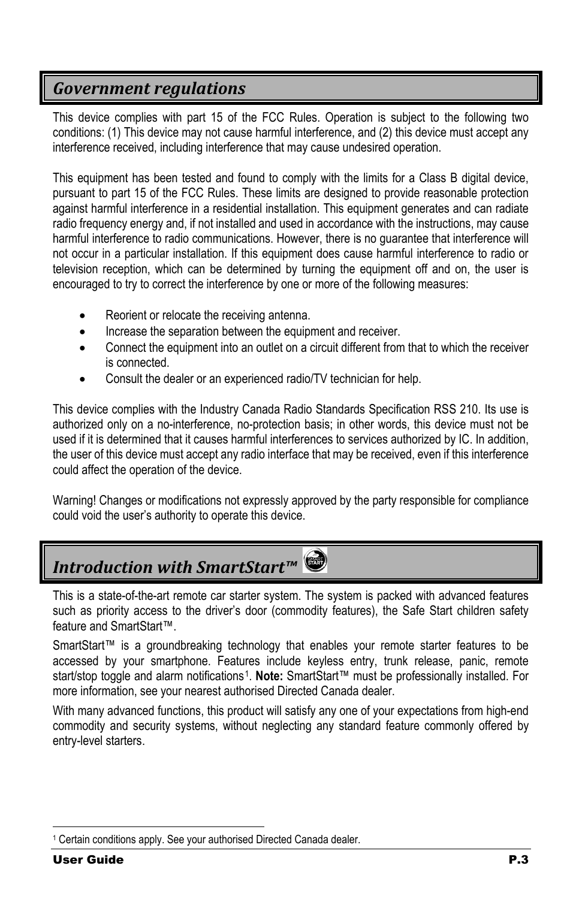## <span id="page-2-0"></span>*Government regulations*

This device complies with part 15 of the FCC Rules. Operation is subject to the following two conditions: (1) This device may not cause harmful interference, and (2) this device must accept any interference received, including interference that may cause undesired operation.

This equipment has been tested and found to comply with the limits for a Class B digital device, pursuant to part 15 of the FCC Rules. These limits are designed to provide reasonable protection against harmful interference in a residential installation. This equipment generates and can radiate radio frequency energy and, if not installed and used in accordance with the instructions, may cause harmful interference to radio communications. However, there is no guarantee that interference will not occur in a particular installation. If this equipment does cause harmful interference to radio or television reception, which can be determined by turning the equipment off and on, the user is encouraged to try to correct the interference by one or more of the following measures:

- Reorient or relocate the receiving antenna.
- Increase the separation between the equipment and receiver.
- Connect the equipment into an outlet on a circuit different from that to which the receiver is connected.
- Consult the dealer or an experienced radio/TV technician for help.

This device complies with the Industry Canada Radio Standards Specification RSS 210. Its use is authorized only on a no-interference, no-protection basis; in other words, this device must not be used if it is determined that it causes harmful interferences to services authorized by IC. In addition, the user of this device must accept any radio interface that may be received, even if this interference could affect the operation of the device.

Warning! Changes or modifications not expressly approved by the party responsible for compliance could void the user's authority to operate this device.

## <span id="page-2-1"></span>*Introduction with SmartStart™*

This is a state-of-the-art remote car starter system. The system is packed with advanced features such as priority access to the driver's door (commodity features), the Safe Start children safety feature and SmartStart™.

SmartStart™ is a groundbreaking technology that enables your remote starter features to be accessed by your smartphone. Features include keyless entry, trunk release, panic, remote start/stop toggle and alarm notifications[1](#page-2-2). **Note:** SmartStart™ must be professionally installed. For more information, see your nearest authorised Directed Canada dealer.

With many advanced functions, this product will satisfy any one of your expectations from high-end commodity and security systems, without neglecting any standard feature commonly offered by entry-level starters.

<span id="page-2-2"></span> <sup>1</sup> Certain conditions apply. See your authorised Directed Canada dealer.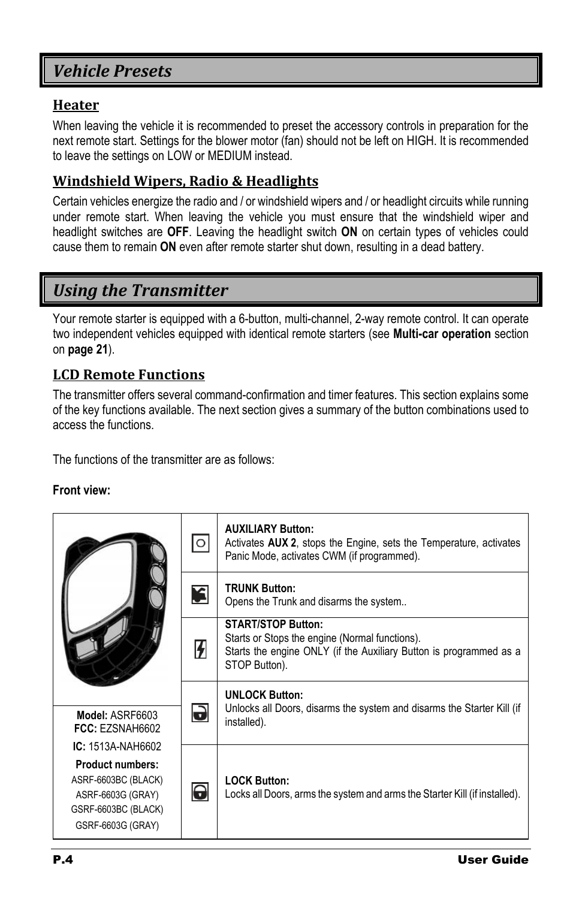## <span id="page-3-0"></span>*Vehicle Presets*

#### <span id="page-3-1"></span>**Heater**

When leaving the vehicle it is recommended to preset the accessory controls in preparation for the next remote start. Settings for the blower motor (fan) should not be left on HIGH. It is recommended to leave the settings on LOW or MEDIUM instead.

#### <span id="page-3-2"></span>**Windshield Wipers, Radio & Headlights**

Certain vehicles energize the radio and / or windshield wipers and / or headlight circuits while running under remote start. When leaving the vehicle you must ensure that the windshield wiper and headlight switches are **OFF**. Leaving the headlight switch **ON** on certain types of vehicles could cause them to remain **ON** even after remote starter shut down, resulting in a dead battery.

## <span id="page-3-3"></span>*Using the Transmitter*

Your remote starter is equipped with a 6-button, multi-channel, 2-way remote control. It can operate two independent vehicles equipped with identical remote starters (see **Multi-car operation** section on **page [21](#page-20-3)**).

#### <span id="page-3-4"></span>**LCD Remote Functions**

The transmitter offers several command-confirmation and timer features. This section explains some of the key functions available. The next section gives a summary of the button combinations used to access the functions.

The functions of the transmitter are as follows:

#### **Front view:**

|                                                                                                                 | O                     | <b>AUXILIARY Button:</b><br>Activates AUX 2, stops the Engine, sets the Temperature, activates<br>Panic Mode, activates CWM (if programmed).                       |  |  |
|-----------------------------------------------------------------------------------------------------------------|-----------------------|--------------------------------------------------------------------------------------------------------------------------------------------------------------------|--|--|
|                                                                                                                 | £                     | <b>TRUNK Button:</b><br>Opens the Trunk and disarms the system                                                                                                     |  |  |
|                                                                                                                 | $\boldsymbol{V}$      | <b>START/STOP Button:</b><br>Starts or Stops the engine (Normal functions).<br>Starts the engine ONLY (if the Auxiliary Button is programmed as a<br>STOP Button). |  |  |
|                                                                                                                 |                       | <b>UNLOCK Button:</b>                                                                                                                                              |  |  |
| Model: ASRF6603<br>FCC: EZSNAH6602                                                                              | J                     | Unlocks all Doors, disarms the system and disarms the Starter Kill (if<br>installed).                                                                              |  |  |
| IC: 1513A-NAH6602                                                                                               |                       |                                                                                                                                                                    |  |  |
| <b>Product numbers:</b><br>ASRF-6603BC (BLACK)<br>ASRF-6603G (GRAY)<br>GSRF-6603BC (BLACK)<br>GSRF-6603G (GRAY) | $\boldsymbol{\Theta}$ | <b>LOCK Button:</b><br>Locks all Doors, arms the system and arms the Starter Kill (if installed).                                                                  |  |  |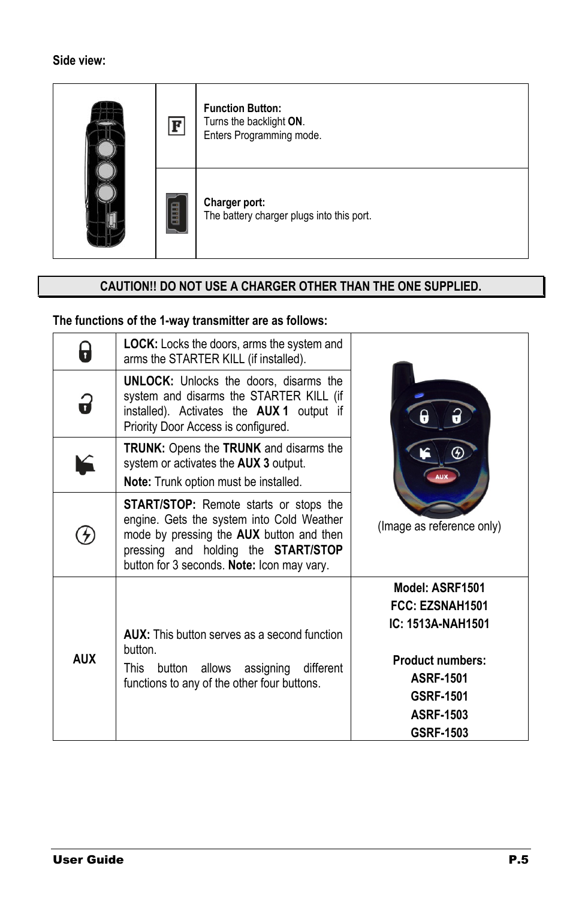

## **CAUTION!! DO NOT USE A CHARGER OTHER THAN THE ONE SUPPLIED.**

#### **The functions of the 1-way transmitter are as follows:**

| Ţ          | <b>LOCK:</b> Locks the doors, arms the system and<br>arms the STARTER KILL (if installed).                                                                                                                                  |                                                                                                                                                             |  |  |
|------------|-----------------------------------------------------------------------------------------------------------------------------------------------------------------------------------------------------------------------------|-------------------------------------------------------------------------------------------------------------------------------------------------------------|--|--|
| ó          | <b>UNLOCK:</b> Unlocks the doors, disarms the<br>system and disarms the STARTER KILL (if<br>installed). Activates the <b>AUX1</b> output if<br>Priority Door Access is configured.                                          |                                                                                                                                                             |  |  |
|            | <b>TRUNK:</b> Opens the <b>TRUNK</b> and disarms the<br>system or activates the AUX 3 output.<br>Note: Trunk option must be installed.                                                                                      |                                                                                                                                                             |  |  |
|            | <b>START/STOP:</b> Remote starts or stops the<br>engine. Gets the system into Cold Weather<br>mode by pressing the AUX button and then<br>pressing and holding the START/STOP<br>button for 3 seconds. Note: Icon may vary. | (Image as reference only)                                                                                                                                   |  |  |
| <b>AUX</b> | <b>AUX:</b> This button serves as a second function<br>button.<br>assigning different<br>This button allows<br>functions to any of the other four buttons.                                                                  | Model: ASRF1501<br>FCC: EZSNAH1501<br>IC: 1513A-NAH1501<br><b>Product numbers:</b><br><b>ASRF-1501</b><br><b>GSRF-1501</b><br><b>ASRF-1503</b><br>GSRF-1503 |  |  |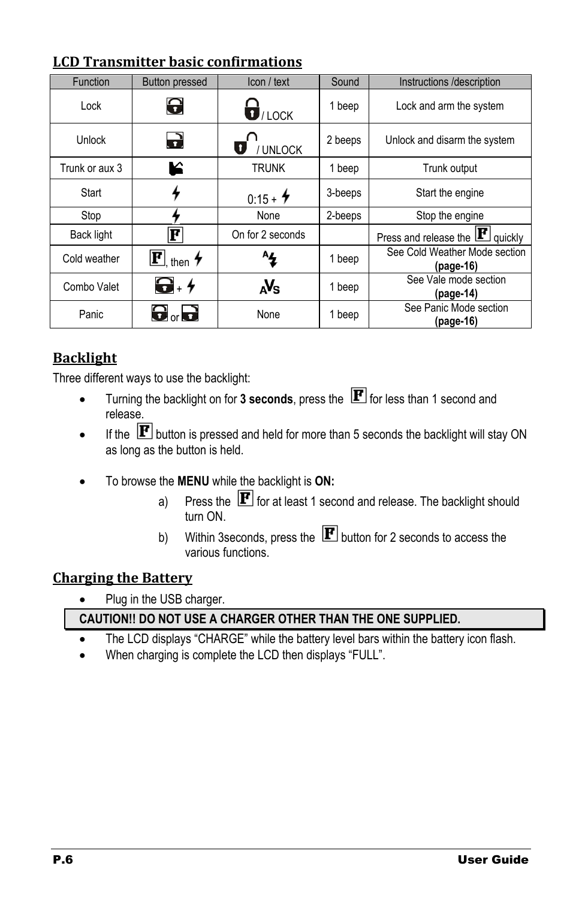| Function          | <b>Button pressed</b>                       | Icon / text                   | Sound   | Instructions /description                  |
|-------------------|---------------------------------------------|-------------------------------|---------|--------------------------------------------|
| Lock              | 0                                           | $\overline{\mathbf{U}}$ /LOCK | 1 beep  | Lock and arm the system                    |
| Unlock            | 2                                           | $\bullet$<br><b>UNLOCK</b>    | 2 beeps | Unlock and disarm the system               |
| Trunk or aux 3    | K                                           | <b>TRUNK</b>                  | 1 beep  | Trunk output                               |
| Start             |                                             | $0:15 + 4$                    | 3-beeps | Start the engine                           |
| Stop              |                                             | None                          | 2-beeps | Stop the engine                            |
| <b>Back light</b> | F                                           | On for 2 seconds              |         | Press and release the $\mathbf{F}$ quickly |
| Cold weather      | $\mathbf{F}$ <sub>, then</sub> $\bm{\star}$ | ^4                            | 1 beep  | See Cold Weather Mode section<br>(page-16) |
| Combo Valet       | $\mathbf{G}$ . $\mathbf{\mathbf{+}}$        | avs                           | 1 beep  | See Vale mode section<br>(page-14)         |
| Panic             | $\mathbf{\Theta}$ or $\mathbf{\Theta}$      | None                          | 1 beep  | See Panic Mode section<br>(page-16)        |

#### <span id="page-5-0"></span>**LCD Transmitter basic confirmations**

## <span id="page-5-1"></span>**Backlight**

Three different ways to use the backlight:

- Turning the backlight on for  $3$  seconds, press the  $\mathbf F$  for less than 1 second and release.
- If the  $[F]$  button is pressed and held for more than 5 seconds the backlight will stay ON as long as the button is held.
- To browse the **MENU** while the backlight is **ON:**
	- a) Press the  $\mathbf F$  for at least 1 second and release. The backlight should turn ON.
	- b) Within 3 seconds, press the  $\mathbf{F}$  button for 2 seconds to access the various functions.

#### <span id="page-5-2"></span>**Charging the Battery**

• Plug in the USB charger.

#### **CAUTION!! DO NOT USE A CHARGER OTHER THAN THE ONE SUPPLIED.**

- The LCD displays "CHARGE" while the battery level bars within the battery icon flash.
- When charging is complete the LCD then displays "FULL".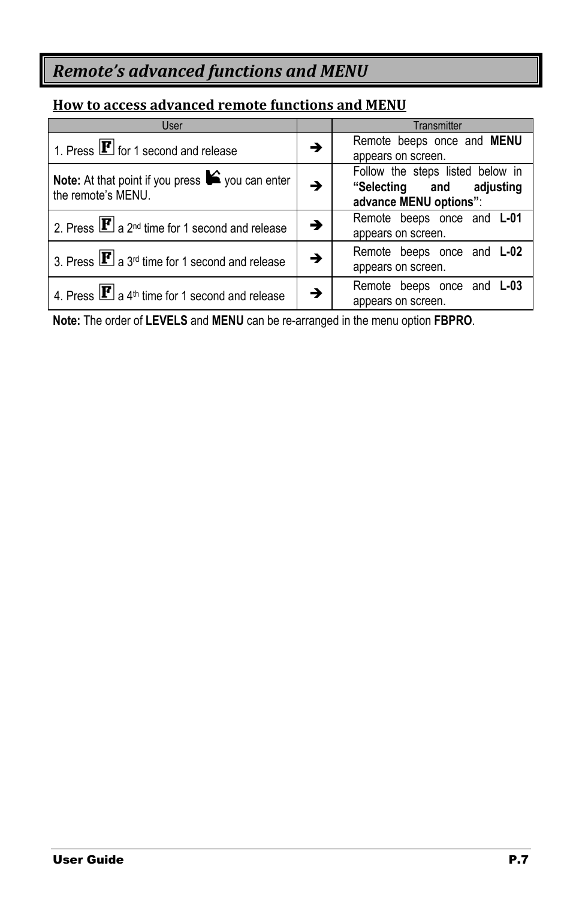## <span id="page-6-0"></span>*Remote's advanced functions and MENU*

#### <span id="page-6-1"></span>**How to access advanced remote functions and MENU**

| User                                                                                       |   | Transmitter                                                                            |
|--------------------------------------------------------------------------------------------|---|----------------------------------------------------------------------------------------|
| 1. Press $\mathbf{F}$ for 1 second and release                                             | → | Remote beeps once and <b>MENU</b><br>appears on screen.                                |
| Note: At that point if you press $\blacktriangleright$ you can enter<br>the remote's MENU. |   | Follow the steps listed below in<br>"Selecting and adjusting<br>advance MENU options": |
| 2. Press $\boxed{\mathbf{F}}$ a 2 <sup>nd</sup> time for 1 second and release              |   | Remote beeps once and L-01<br>appears on screen.                                       |
| 3. Press $\boxed{\mathbf{F}}$ a 3 <sup>rd</sup> time for 1 second and release              | → | Remote beeps once and <b>L-02</b><br>appears on screen.                                |
| 4. Press $\boxed{\mathbf{F}}$ a 4 <sup>th</sup> time for 1 second and release              |   | Remote beeps once and L-03<br>appears on screen.                                       |

**Note:** The order of **LEVELS** and **MENU** can be re-arranged in the menu option **FBPRO**.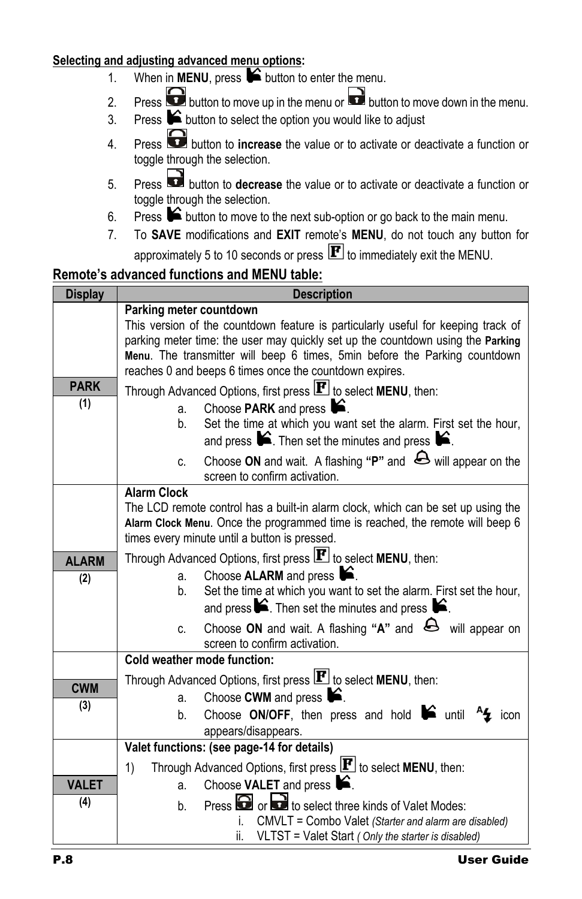#### **Selecting and adjusting advanced menu options:**

- 1. When in **MENU**, press  $\bigotimes$  button to enter the menu.
- 2. Press **b** button to move up in the menu or **b** button to move down in the menu.
- 3. Press  $\blacktriangleright$  button to select the option you would like to adjust
- 4. Press button to **increase** the value or to activate or deactivate a function or toggle through the selection.
- 5. Press button to **decrease** the value or to activate or deactivate a function or toggle through the selection.
- 6. Press  $\triangleright$  button to move to the next sub-option or go back to the main menu.
- 7. To **SAVE** modifications and **EXIT** remote's **MENU**, do not touch any button for approximately 5 to 10 seconds or press  $\mathbf{F}$  to immediately exit the MENU.

## **Remote's advanced functions and MENU table:**

| <b>Display</b> | <b>Description</b>                                                                                                                                                                              |  |  |
|----------------|-------------------------------------------------------------------------------------------------------------------------------------------------------------------------------------------------|--|--|
|                | Parking meter countdown<br>This version of the countdown feature is particularly useful for keeping track of<br>parking meter time: the user may quickly set up the countdown using the Parking |  |  |
|                | Menu. The transmitter will beep 6 times, 5min before the Parking countdown<br>reaches 0 and beeps 6 times once the countdown expires.                                                           |  |  |
| <b>PARK</b>    | Through Advanced Options, first press $\mathbf{F}$ to select MENU, then:                                                                                                                        |  |  |
| (1)            | Choose PARK and press <b>C</b> .<br>a.                                                                                                                                                          |  |  |
|                | Set the time at which you want set the alarm. First set the hour,<br>b.<br>and press $\blacktriangleright$ . Then set the minutes and press $\blacktriangleright$ .                             |  |  |
|                | Choose ON and wait. A flashing "P" and $\bigoplus$ will appear on the<br>C.<br>screen to confirm activation.                                                                                    |  |  |
|                | <b>Alarm Clock</b>                                                                                                                                                                              |  |  |
|                | The LCD remote control has a built-in alarm clock, which can be set up using the<br>Alarm Clock Menu. Once the programmed time is reached, the remote will beep 6                               |  |  |
|                | times every minute until a button is pressed.                                                                                                                                                   |  |  |
| <b>ALARM</b>   | Through Advanced Options, first press $\mathbf{F}$ to select MENU, then:                                                                                                                        |  |  |
| (2)            | Choose ALARM and press <b>6</b> .<br>a.                                                                                                                                                         |  |  |
|                | Set the time at which you want to set the alarm. First set the hour,<br>b.<br>and press $\blacktriangleright$ . Then set the minutes and press $\blacktriangleright$ .                          |  |  |
|                | Choose ON and wait. A flashing "A" and $\bigoplus$ will appear on<br>C.<br>screen to confirm activation.                                                                                        |  |  |
|                | Cold weather mode function:                                                                                                                                                                     |  |  |
| <b>CWM</b>     | Through Advanced Options, first press $\mathbf{F}$ to select MENU, then:                                                                                                                        |  |  |
| (3)            | Choose CWM and press $\blacksquare$ .<br>a.                                                                                                                                                     |  |  |
|                | Choose ON/OFF, then press and hold $\blacksquare$ until $\blacktriangle$ icon<br>b.                                                                                                             |  |  |
|                | appears/disappears.<br>Valet functions: (see page-14 for details)                                                                                                                               |  |  |
|                | Through Advanced Options, first press $\mathbf{F}$ to select MENU, then:<br>1)                                                                                                                  |  |  |
| <b>VALET</b>   | Choose VALET and press <b>C</b> .<br>a.                                                                                                                                                         |  |  |
| (4)            | Press or or to select three kinds of Valet Modes:                                                                                                                                               |  |  |
|                | b.<br>CMVLT = Combo Valet (Starter and alarm are disabled)<br>Ĺ.                                                                                                                                |  |  |
|                | VLTST = Valet Start (Only the starter is disabled)<br>ii.                                                                                                                                       |  |  |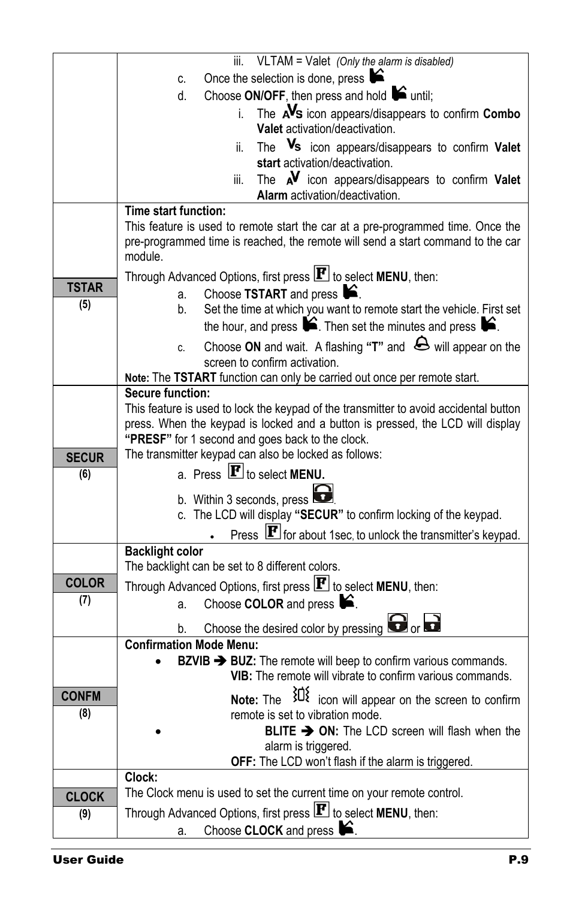|              | iii. VLTAM = Valet (Only the alarm is disabled)                                                                  |  |  |
|--------------|------------------------------------------------------------------------------------------------------------------|--|--|
|              | y<br>Once the selection is done, press<br>C.                                                                     |  |  |
|              | Choose $ON/OFF$ , then press and hold $\blacktriangleright$ until;<br>d.                                         |  |  |
|              | The AVs icon appears/disappears to confirm Combo<br>i.                                                           |  |  |
|              | Valet activation/deactivation.                                                                                   |  |  |
|              | The Vs icon appears/disappears to confirm Valet<br>ii.                                                           |  |  |
|              | start activation/deactivation.                                                                                   |  |  |
|              | The $\mathbf{A}^{\mathbf{V}}$ icon appears/disappears to confirm Valet<br>iii.                                   |  |  |
|              | Alarm activation/deactivation.<br>Time start function:                                                           |  |  |
|              | This feature is used to remote start the car at a pre-programmed time. Once the                                  |  |  |
|              | pre-programmed time is reached, the remote will send a start command to the car                                  |  |  |
|              | module.                                                                                                          |  |  |
|              | Through Advanced Options, first press $\mathbf{F}$ to select MENU, then:                                         |  |  |
| <b>TSTAR</b> | Choose TSTART and press <b>S</b> .<br>a.                                                                         |  |  |
| (5)          | Set the time at which you want to remote start the vehicle. First set<br>b.                                      |  |  |
|              | the hour, and press $\blacktriangleright$ . Then set the minutes and press $\blacktriangleright$ .               |  |  |
|              | Choose ON and wait. A flashing " $T$ " and $\bigoplus$ will appear on the<br>C.                                  |  |  |
|              | screen to confirm activation.                                                                                    |  |  |
|              | Note: The TSTART function can only be carried out once per remote start.                                         |  |  |
|              | <b>Secure function:</b><br>This feature is used to lock the keypad of the transmitter to avoid accidental button |  |  |
|              | press. When the keypad is locked and a button is pressed, the LCD will display                                   |  |  |
|              | "PRESF" for 1 second and goes back to the clock.                                                                 |  |  |
| <b>SECUR</b> | The transmitter keypad can also be locked as follows:                                                            |  |  |
| (6)          | a. Press $\mathbf{F}$ to select MENU.                                                                            |  |  |
|              | b. Within 3 seconds, press                                                                                       |  |  |
|              | c. The LCD will display "SECUR" to confirm locking of the keypad.                                                |  |  |
|              | Press <b>F</b> for about 1sec, to unlock the transmitter's keypad.                                               |  |  |
|              | <b>Backlight color</b>                                                                                           |  |  |
|              | The backlight can be set to 8 different colors.                                                                  |  |  |
| <b>COLOR</b> | Through Advanced Options, first press $\mathbf{F}$ to select MENU, then:                                         |  |  |
| (7)          | Choose COLOR and press <b>S</b> .<br>a.                                                                          |  |  |
|              | Choose the desired color by pressing <b>the desired</b> or<br>b.                                                 |  |  |
|              | <b>Confirmation Mode Menu:</b>                                                                                   |  |  |
|              | BZVIB > BUZ: The remote will beep to confirm various commands.                                                   |  |  |
|              | VIB: The remote will vibrate to confirm various commands.                                                        |  |  |
| <b>CONFM</b> | $30\frac{3}{2}$ icon will appear on the screen to confirm<br>Note: The                                           |  |  |
| (8)          | remote is set to vibration mode.                                                                                 |  |  |
|              | <b>BLITE <math>\rightarrow</math> ON:</b> The LCD screen will flash when the                                     |  |  |
|              | alarm is triggered.                                                                                              |  |  |
|              | OFF: The LCD won't flash if the alarm is triggered.                                                              |  |  |
|              | Clock:<br>The Clock menu is used to set the current time on your remote control.                                 |  |  |
| <b>CLOCK</b> | Through Advanced Options, first press $\mathbf{F}$ to select MENU, then:                                         |  |  |
| (9)          | Choose CLOCK and press<br>£.                                                                                     |  |  |
|              | a.                                                                                                               |  |  |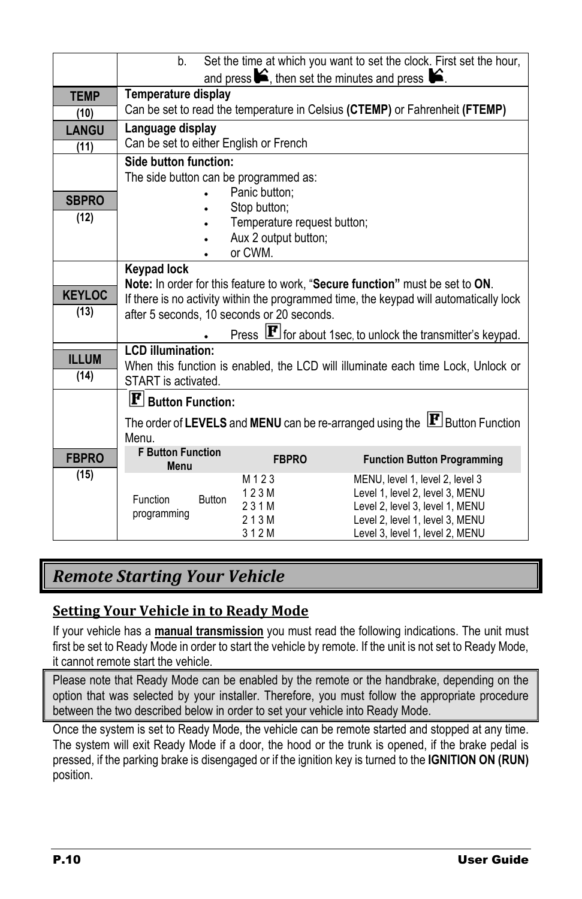|               | Set the time at which you want to set the clock. First set the hour,<br>b.               |                                                     |                                                                             |  |
|---------------|------------------------------------------------------------------------------------------|-----------------------------------------------------|-----------------------------------------------------------------------------|--|
|               | and press $\blacktriangleright$ , then set the minutes and press $\blacktriangleright$ . |                                                     |                                                                             |  |
| <b>TEMP</b>   | Temperature display                                                                      |                                                     |                                                                             |  |
| (10)          |                                                                                          |                                                     | Can be set to read the temperature in Celsius (CTEMP) or Fahrenheit (FTEMP) |  |
| <b>LANGU</b>  | Language display                                                                         |                                                     |                                                                             |  |
| (11)          | Can be set to either English or French                                                   |                                                     |                                                                             |  |
|               | Side button function:                                                                    |                                                     |                                                                             |  |
|               | The side button can be programmed as:                                                    |                                                     |                                                                             |  |
| <b>SBPRO</b>  |                                                                                          | Panic button;                                       |                                                                             |  |
| (12)          |                                                                                          | Stop button;                                        |                                                                             |  |
|               |                                                                                          | Temperature request button;<br>Aux 2 output button; |                                                                             |  |
|               |                                                                                          | or CWM.                                             |                                                                             |  |
|               | <b>Keypad lock</b>                                                                       |                                                     |                                                                             |  |
|               | Note: In order for this feature to work, "Secure function" must be set to ON.            |                                                     |                                                                             |  |
| <b>KEYLOC</b> | If there is no activity within the programmed time, the keypad will automatically lock   |                                                     |                                                                             |  |
| (13)          | after 5 seconds, 10 seconds or 20 seconds.                                               |                                                     |                                                                             |  |
|               |                                                                                          |                                                     | Press F for about 1sec, to unlock the transmitter's keypad.                 |  |
| <b>ILLUM</b>  | <b>LCD</b> illumination:                                                                 |                                                     |                                                                             |  |
| (14)          | When this function is enabled, the LCD will illuminate each time Lock, Unlock or         |                                                     |                                                                             |  |
|               | START is activated.                                                                      |                                                     |                                                                             |  |
|               | $\mathbf{F}$ Button Function:                                                            |                                                     |                                                                             |  |
|               | The order of LEVELS and MENU can be re-arranged using the $ F $ Button Function          |                                                     |                                                                             |  |
|               | Menu.                                                                                    |                                                     |                                                                             |  |
| <b>FBPRO</b>  | <b>F Button Function</b><br>Menu                                                         | <b>FBPRO</b>                                        | <b>Function Button Programming</b>                                          |  |
| (15)          |                                                                                          | M <sub>123</sub>                                    | MENU, level 1, level 2, level 3                                             |  |
|               | Function<br><b>Button</b>                                                                | 123M                                                | Level 1, level 2, level 3, MENU                                             |  |
|               | programming                                                                              | 231M                                                | Level 2, level 3, level 1, MENU                                             |  |
|               |                                                                                          | 213M                                                | Level 2, level 1, level 3, MENU                                             |  |
|               |                                                                                          | 312M                                                | Level 3, level 1, level 2, MENU                                             |  |

## <span id="page-9-0"></span>*Remote Starting Your Vehicle*

#### <span id="page-9-1"></span>**Setting Your Vehicle in to Ready Mode**

If your vehicle has a **manual transmission** you must read the following indications. The unit must first be set to Ready Mode in order to start the vehicle by remote. If the unit is not set to Ready Mode, it cannot remote start the vehicle.

Please note that Ready Mode can be enabled by the remote or the handbrake, depending on the option that was selected by your installer. Therefore, you must follow the appropriate procedure between the two described below in order to set your vehicle into Ready Mode.

Once the system is set to Ready Mode, the vehicle can be remote started and stopped at any time. The system will exit Ready Mode if a door, the hood or the trunk is opened, if the brake pedal is pressed, if the parking brake is disengaged or if the ignition key is turned to the **IGNITION ON (RUN)** position.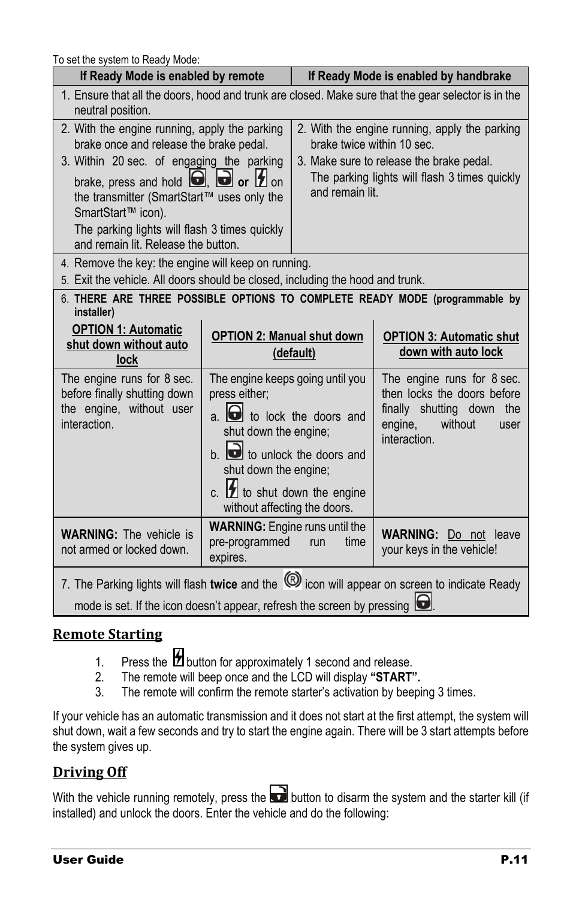To set the system to Ready Mode:

| <b>U</b> JULTING SYSIGHT TO TYGOGY IVIOUG.<br>If Ready Mode is enabled by remote<br>If Ready Mode is enabled by handbrake                                                                                                                                                                                                                               |                                                                                                                                                                                                                                                                                                                                                                                                        |                                                                                                                                                                                             |  |  |  |
|---------------------------------------------------------------------------------------------------------------------------------------------------------------------------------------------------------------------------------------------------------------------------------------------------------------------------------------------------------|--------------------------------------------------------------------------------------------------------------------------------------------------------------------------------------------------------------------------------------------------------------------------------------------------------------------------------------------------------------------------------------------------------|---------------------------------------------------------------------------------------------------------------------------------------------------------------------------------------------|--|--|--|
| neutral position.                                                                                                                                                                                                                                                                                                                                       | 1. Ensure that all the doors, hood and trunk are closed. Make sure that the gear selector is in the                                                                                                                                                                                                                                                                                                    |                                                                                                                                                                                             |  |  |  |
| 2. With the engine running, apply the parking<br>brake once and release the brake pedal.<br>3. Within 20 sec. of engaging the parking<br>brake, press and hold $\Box$ , $\Box$ or $\Box$ on<br>the transmitter (SmartStart™ uses only the<br>SmartStart™ icon).<br>The parking lights will flash 3 times quickly<br>and remain lit. Release the button. |                                                                                                                                                                                                                                                                                                                                                                                                        | 2. With the engine running, apply the parking<br>brake twice within 10 sec.<br>3. Make sure to release the brake pedal.<br>The parking lights will flash 3 times quickly<br>and remain lit. |  |  |  |
| 4. Remove the key: the engine will keep on running.<br>5. Exit the vehicle. All doors should be closed, including the hood and trunk.                                                                                                                                                                                                                   |                                                                                                                                                                                                                                                                                                                                                                                                        |                                                                                                                                                                                             |  |  |  |
| installer)<br><b>OPTION 1: Automatic</b><br>shut down without auto<br>lock                                                                                                                                                                                                                                                                              | 6. THERE ARE THREE POSSIBLE OPTIONS TO COMPLETE READY MODE (programmable by<br><b>OPTION 2: Manual shut down</b><br><b>OPTION 3: Automatic shut</b><br>down with auto lock<br>(default)                                                                                                                                                                                                                |                                                                                                                                                                                             |  |  |  |
| The engine runs for 8 sec.<br>before finally shutting down<br>the engine, without user<br>interaction.                                                                                                                                                                                                                                                  | The engine keeps going until you<br>The engine runs for 8 sec.<br>press either;<br>then locks the doors before<br>finally shutting down the<br>$a.$ $\bullet$ to lock the doors and<br>engine,<br>without<br>user<br>shut down the engine;<br>interaction.<br>b. to unlock the doors and<br>shut down the engine;<br>c. $\boxed{\phantom{1}2}$ to shut down the engine<br>without affecting the doors. |                                                                                                                                                                                             |  |  |  |
| <b>WARNING:</b> The vehicle is<br>not armed or locked down.                                                                                                                                                                                                                                                                                             | <b>WARNING:</b> Engine runs until the<br><b>WARNING:</b> Do not leave<br>pre-programmed<br>run<br>time<br>your keys in the vehicle!<br>expires.                                                                                                                                                                                                                                                        |                                                                                                                                                                                             |  |  |  |
| 7. The Parking lights will flash twice and the <sup>(3)</sup> icon will appear on screen to indicate Ready<br>mode is set. If the icon doesn't appear, refresh the screen by pressing $\bigcirc$                                                                                                                                                        |                                                                                                                                                                                                                                                                                                                                                                                                        |                                                                                                                                                                                             |  |  |  |

#### <span id="page-10-0"></span>**Remote Starting**

- 1. Press the  $\boxplus$  button for approximately 1 second and release.<br>2. The remote will beep once and the LCD will display "START"
- 2. The remote will beep once and the LCD will display **"START".**
- The remote will confirm the remote starter's activation by beeping 3 times.

If your vehicle has an automatic transmission and it does not start at the first attempt, the system will shut down, wait a few seconds and try to start the engine again. There will be 3 start attempts before the system gives up.

#### <span id="page-10-1"></span>**Driving Off**

With the vehicle running remotely, press the  $\Box$  button to disarm the system and the starter kill (if installed) and unlock the doors. Enter the vehicle and do the following: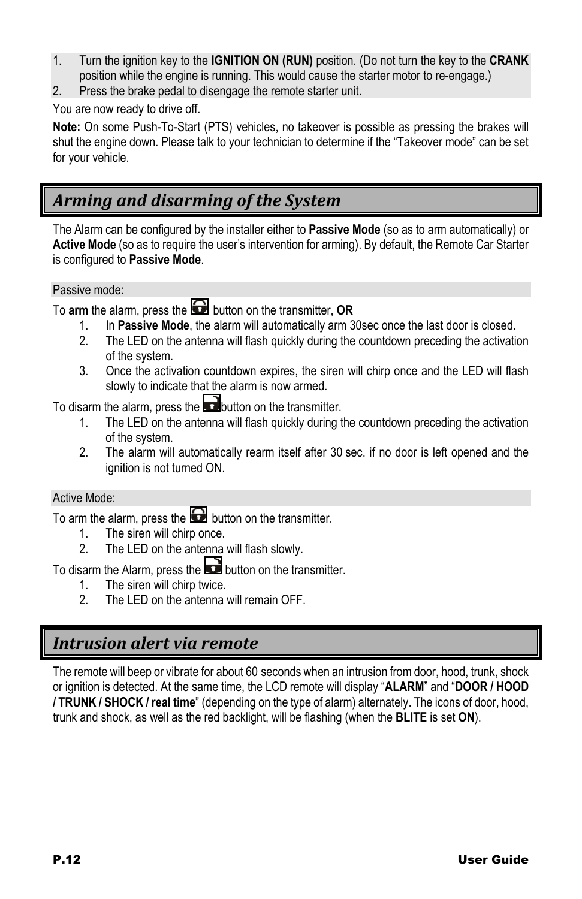- 1. Turn the ignition key to the **IGNITION ON (RUN)** position. (Do not turn the key to the **CRANK** position while the engine is running. This would cause the starter motor to re-engage.)
- 2. Press the brake pedal to disengage the remote starter unit.

#### You are now ready to drive off.

**Note:** On some Push-To-Start (PTS) vehicles, no takeover is possible as pressing the brakes will shut the engine down. Please talk to your technician to determine if the "Takeover mode" can be set for your vehicle.

## <span id="page-11-0"></span>*Arming and disarming of the System*

The Alarm can be configured by the installer either to **Passive Mode** (so as to arm automatically) or **Active Mode** (so as to require the user's intervention for arming). By default, the Remote Car Starter is configured to **Passive Mode**.

#### Passive mode:

To **arm** the alarm, press the **button** on the transmitter, **OR** 

- 1. In **Passive Mode**, the alarm will automatically arm 30sec once the last door is closed.
- The LED on the antenna will flash quickly during the countdown preceding the activation of the system.
- 3. Once the activation countdown expires, the siren will chirp once and the LED will flash slowly to indicate that the alarm is now armed.

To disarm the alarm, press the **button** on the transmitter.

- 1. The LED on the antenna will flash quickly during the countdown preceding the activation of the system.
- 2. The alarm will automatically rearm itself after 30 sec. if no door is left opened and the ignition is not turned ON.

#### Active Mode:

To arm the alarm, press the  $\Box$  button on the transmitter.

- 1. The siren will chirp once.
- 2. The LED on the antenna will flash slowly.

To disarm the Alarm, press the  $\Box$  button on the transmitter.

- 1. The siren will chirp twice.
- 2. The LED on the antenna will remain OFF.

## <span id="page-11-1"></span>*Intrusion alert via remote*

The remote will beep or vibrate for about 60 seconds when an intrusion from door, hood, trunk, shock or ignition is detected. At the same time, the LCD remote will display "**ALARM**" and "**DOOR / HOOD / TRUNK / SHOCK / real time**" (depending on the type of alarm) alternately. The icons of door, hood, trunk and shock, as well as the red backlight, will be flashing (when the **BLITE** is set **ON**).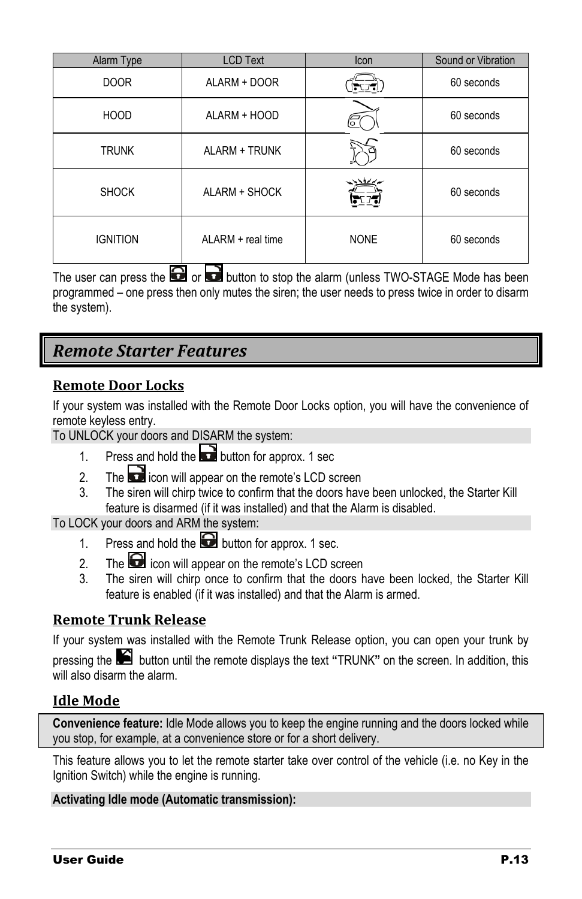| Alarm Type      | <b>LCD Text</b>   | Icon        | Sound or Vibration |
|-----------------|-------------------|-------------|--------------------|
| <b>DOOR</b>     | ALARM + DOOR      |             | 60 seconds         |
| <b>HOOD</b>     | ALARM + HOOD      |             | 60 seconds         |
| <b>TRUNK</b>    | ALARM + TRUNK     |             | 60 seconds         |
| <b>SHOCK</b>    | ALARM + SHOCK     | トリイン        | 60 seconds         |
| <b>IGNITION</b> | ALARM + real time | <b>NONE</b> | 60 seconds         |

The user can press the  $\Box$  or  $\Box$  button to stop the alarm (unless TWO-STAGE Mode has been programmed – one press then only mutes the siren; the user needs to press twice in order to disarm the system).

## <span id="page-12-0"></span>*Remote Starter Features*

#### <span id="page-12-1"></span>**Remote Door Locks**

If your system was installed with the Remote Door Locks option, you will have the convenience of remote keyless entry.

To UNLOCK your doors and DISARM the system:

- 1. Press and hold the **button for approx.** 1 sec
- 2. The  $\Box$  icon will appear on the remote's LCD screen
- 3. The siren will chirp twice to confirm that the doors have been unlocked, the Starter Kill feature is disarmed (if it was installed) and that the Alarm is disabled.

To LOCK your doors and ARM the system:

- 1. Press and hold the **button** for approx. 1 sec.
- 2. The  $\Box$  icon will appear on the remote's LCD screen
- 3. The siren will chirp once to confirm that the doors have been locked, the Starter Kill feature is enabled (if it was installed) and that the Alarm is armed.

#### <span id="page-12-2"></span>**Remote Trunk Release**

If your system was installed with the Remote Trunk Release option, you can open your trunk by pressing the button until the remote displays the text **"**TRUNK**"** on the screen. In addition, this will also disarm the alarm.

#### <span id="page-12-3"></span>**Idle Mode**

**Convenience feature:** Idle Mode allows you to keep the engine running and the doors locked while you stop, for example, at a convenience store or for a short delivery.

This feature allows you to let the remote starter take over control of the vehicle (i.e. no Key in the Ignition Switch) while the engine is running.

#### **Activating Idle mode (Automatic transmission):**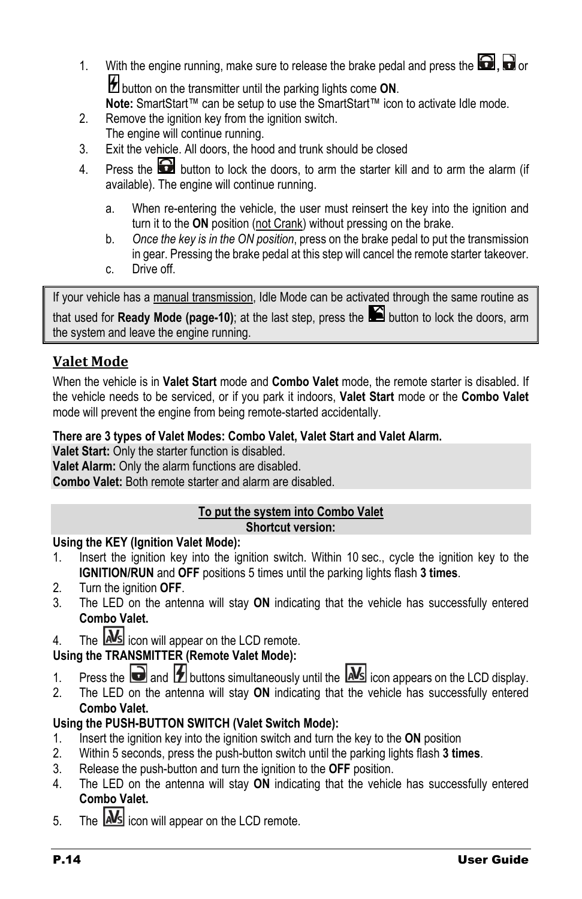- 1. With the engine running, make sure to release the brake pedal and press the  $\Box$ ,  $\Box$  or button on the transmitter until the parking lights come **ON**. **Note:** SmartStart™ can be setup to use the SmartStart™ icon to activate Idle mode.
- 2. Remove the ignition key from the ignition switch. The engine will continue running.
- 3. Exit the vehicle. All doors, the hood and trunk should be closed
- 4. Press the  $\Box$  button to lock the doors, to arm the starter kill and to arm the alarm (if available). The engine will continue running.
	- a. When re-entering the vehicle, the user must reinsert the key into the ignition and turn it to the **ON** position (not Crank) without pressing on the brake.
	- b. *Once the key is in the ON position*, press on the brake pedal to put the transmission in gear. Pressing the brake pedal at this step will cancel the remote starter takeover.
	- c. Drive off.

If your vehicle has a manual transmission, Idle Mode can be activated through the same routine as that used for **Ready Mode (page[-10\)](#page-9-1)**; at the last step, press the **button to lock the doors**, arm the system and leave the engine running.

#### <span id="page-13-0"></span>**Valet Mode**

When the vehicle is in **Valet Start** mode and **Combo Valet** mode, the remote starter is disabled. If the vehicle needs to be serviced, or if you park it indoors, **Valet Start** mode or the **Combo Valet** mode will prevent the engine from being remote-started accidentally.

#### **There are 3 types of Valet Modes: Combo Valet, Valet Start and Valet Alarm.**

**Valet Start:** Only the starter function is disabled.

**Valet Alarm:** Only the alarm functions are disabled.

**Combo Valet:** Both remote starter and alarm are disabled.

#### **To put the system into Combo Valet**

#### **Shortcut version:**

#### **Using the KEY (Ignition Valet Mode):**

- 1. Insert the ignition key into the ignition switch. Within 10 sec., cycle the ignition key to the **IGNITION/RUN** and **OFF** positions 5 times until the parking lights flash **3 times**.
- 2. Turn the ignition **OFF**.
- 3. The LED on the antenna will stay **ON** indicating that the vehicle has successfully entered **Combo Valet.**
- 4. The  $\overline{\text{MS}}$  icon will appear on the LCD remote.

#### **Using the TRANSMITTER (Remote Valet Mode):**

- 1. Press the **a** and **1** buttons simultaneously until the  $\Delta s$  icon appears on the LCD display.
- 2. The LED on the antenna will stay **ON** indicating that the vehicle has successfully entered **Combo Valet.**

#### **Using the PUSH-BUTTON SWITCH (Valet Switch Mode):**

- 1. Insert the ignition key into the ignition switch and turn the key to the **ON** position
- 2. Within 5 seconds, press the push-button switch until the parking lights flash **3 times**.
- 3. Release the push-button and turn the ignition to the **OFF** position.
- 4. The LED on the antenna will stay **ON** indicating that the vehicle has successfully entered **Combo Valet.**
- 5. The **Nota** icon will appear on the LCD remote.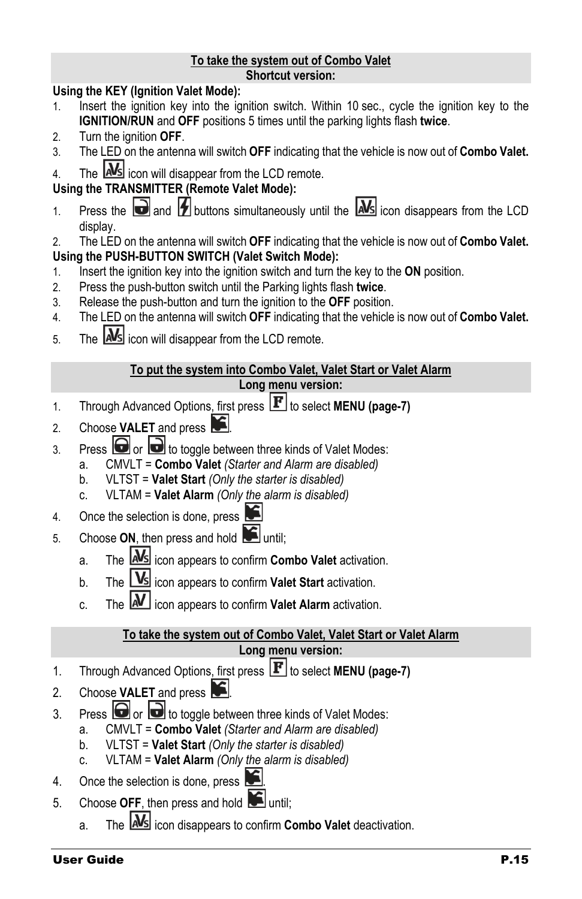#### **To take the system out of Combo Valet Shortcut version:**

#### **Using the KEY (Ignition Valet Mode):**

- 1. Insert the ignition key into the ignition switch. Within 10 sec., cycle the ignition key to the **IGNITION/RUN** and **OFF** positions 5 times until the parking lights flash **twice**.
- 2. Turn the ignition **OFF**.
- 3. The LED on the antenna will switch **OFF** indicating that the vehicle is now out of **Combo Valet.**
- 4. The **AMS** icon will disappear from the LCD remote.

#### **Using the TRANSMITTER (Remote Valet Mode):**

- 1. Press the **a**nd  $\angle$  buttons simultaneously until the  $\angle$ **MS** icon disappears from the LCD display.
- 2. The LED on the antenna will switch **OFF** indicating that the vehicle is now out of **Combo Valet. Using the PUSH-BUTTON SWITCH (Valet Switch Mode):**
- 1. Insert the ignition key into the ignition switch and turn the key to the **ON** position.
- 2. Press the push-button switch until the Parking lights flash **twice**.
- 3. Release the push-button and turn the ignition to the **OFF** position.
- 4. The LED on the antenna will switch **OFF** indicating that the vehicle is now out of **Combo Valet.**
- 5. The **MS** icon will disappear from the LCD remote.

#### **To put the system into Combo Valet, Valet Start or Valet Alarm**

#### **Long menu version:**

- 1. Through Advanced Options, first press **F** to select **MENU (page[-7\)](#page-6-1)**
- 2. Choose **VALET** and press
- 3. Press  $\Box$  or  $\Box$  to toggle between three kinds of Valet Modes:
	- a. CMVLT = **Combo Valet** *(Starter and Alarm are disabled)*
		- b. VLTST = **Valet Start** *(Only the starter is disabled)*
		- c. VLTAM = **Valet Alarm** *(Only the alarm is disabled)*
- 4. Once the selection is done, press
- 5. Choose ON, then press and hold **in** until:
	- a. The **AMS** icon appears to confirm **Combo Valet** activation.
	- b. The **VS** icon appears to confirm **Valet Start** activation.
	- c. The **M** icon appears to confirm **Valet Alarm** activation.

## **To take the system out of Combo Valet, Valet Start or Valet Alarm**

## **Long menu version:**

- 1. Through Advanced Options, first press **F** to select **MENU** (page[-7\)](#page-6-1)
- 2. Choose **VALET** and press
- 3. Press  $\bigodot$  or  $\bigodot$  to toggle between three kinds of Valet Modes:
	- a. CMVLT = **Combo Valet** *(Starter and Alarm are disabled)*
	- b. VLTST = **Valet Start** *(Only the starter is disabled)*
	- c. VLTAM = **Valet Alarm** *(Only the alarm is disabled)*
- 4. Once the selection is done, press
- 5. Choose OFF, then press and hold until:
	- a. The **IMS** icon disappears to confirm **Combo Valet** deactivation.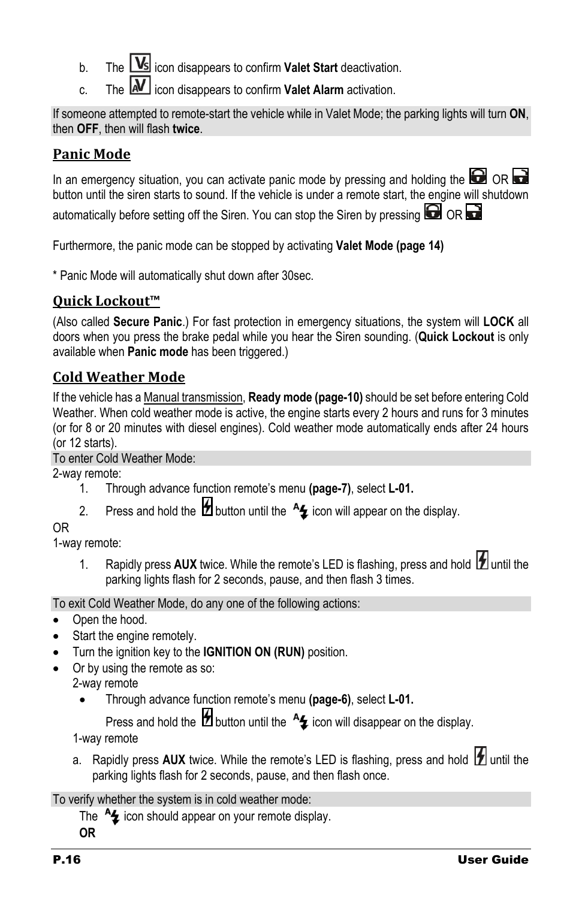- b. The **Vs** icon disappears to confirm **Valet Start** deactivation.
- c. The **M** icon disappears to confirm **Valet Alarm** activation.

If someone attempted to remote-start the vehicle while in Valet Mode; the parking lights will turn **ON**, then **OFF**, then will flash **twice**.

## <span id="page-15-0"></span>**Panic Mode**

In an emergency situation, you can activate panic mode by pressing and holding the  $\Box$  OR  $\Box$ button until the siren starts to sound. If the vehicle is under a remote start, the engine will shutdown

automatically before setting off the Siren. You can stop the Siren by pressing  $\Box$  OR

Furthermore, the panic mode can be stopped by activating **Valet Mode (page [14\)](#page-13-0)**

\* Panic Mode will automatically shut down after 30sec.

## <span id="page-15-1"></span>**Quick Lockout™**

(Also called **Secure Panic**.) For fast protection in emergency situations, the system will **LOCK** all doors when you press the brake pedal while you hear the Siren sounding. (**Quick Lockout** is only available when **Panic mode** has been triggered.)

## <span id="page-15-2"></span>**Cold Weather Mode**

If the vehicle has a Manual transmission, **Ready mode (page[-10\)](#page-9-1)** should be set before entering Cold Weather. When cold weather mode is active, the engine starts every 2 hours and runs for 3 minutes (or for 8 or 20 minutes with diesel engines). Cold weather mode automatically ends after 24 hours (or 12 starts).

#### To enter Cold Weather Mode:

2-way remote:

- 1. Through advance function remote's menu **(page[-7\)](#page-6-1)**, select **L-01.**
- 2. Press and hold the  $\sharp$  button until the  $\sharp$  icon will appear on the display.

#### OR

1-way remote:

1. Rapidly press AUX twice. While the remote's LED is flashing, press and hold **12** until the parking lights flash for 2 seconds, pause, and then flash 3 times.

To exit Cold Weather Mode, do any one of the following actions:

- Open the hood.
- Start the engine remotely.
- Turn the ignition key to the **IGNITION ON (RUN)** position.
- Or by using the remote as so:

2-way remote

• Through advance function remote's menu **(page-6)**, select **L-01.**

Press and hold the  $\mathcal H$  button until the  $\mathcal H$  icon will disappear on the display.

1-way remote

a. Rapidly press AUX twice. While the remote's LED is flashing, press and hold **11** until the parking lights flash for 2 seconds, pause, and then flash once.

To verify whether the system is in cold weather mode:

The  $A_{\overline{2}}$  icon should appear on your remote display.

**OR**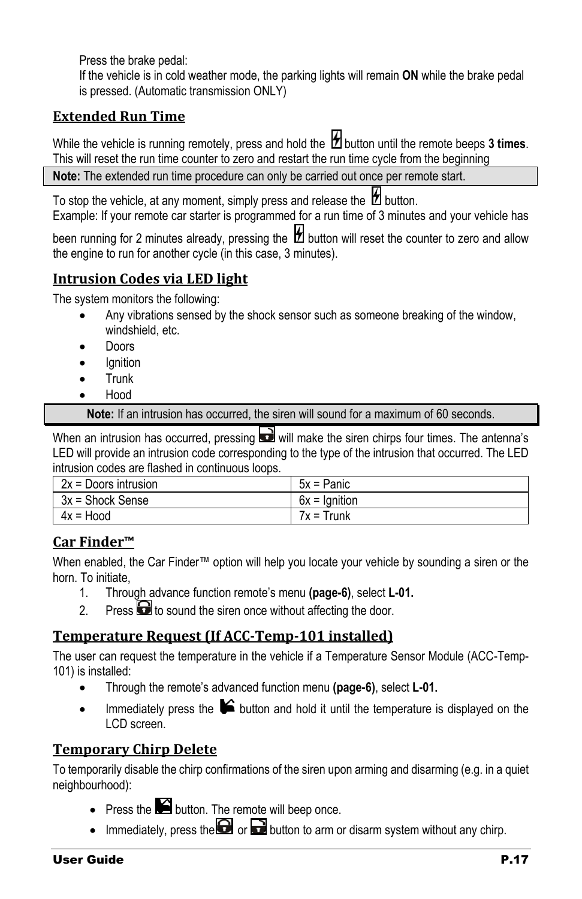Press the brake pedal:

If the vehicle is in cold weather mode, the parking lights will remain **ON** while the brake pedal is pressed. (Automatic transmission ONLY)

#### <span id="page-16-0"></span>**Extended Run Time**

While the vehicle is running remotely, press and hold the  $\mathcal{H}$  button until the remote beeps 3 times. This will reset the run time counter to zero and restart the run time cycle from the beginning

**Note:** The extended run time procedure can only be carried out once per remote start.

To stop the vehicle, at any moment, simply press and release the  $\mathbb Z$  button. Example: If your remote car starter is programmed for a run time of 3 minutes and your vehicle has

been running for 2 minutes already, pressing the  $\mathcal H$  button will reset the counter to zero and allow the engine to run for another cycle (in this case, 3 minutes).

#### <span id="page-16-1"></span>**Intrusion Codes via LED light**

The system monitors the following:

- Any vibrations sensed by the shock sensor such as someone breaking of the window, windshield, etc.
- Doors
- **lanition**
- Trunk
- Hood

**Note:** If an intrusion has occurred, the siren will sound for a maximum of 60 seconds.

When an intrusion has occurred, pressing  $\blacksquare$  will make the siren chirps four times. The antenna's LED will provide an intrusion code corresponding to the type of the intrusion that occurred. The LED intrusion codes are flashed in continuous loops.

| $2x =$ Doors intrusion | $5x =$ Panic    |
|------------------------|-----------------|
| $3x =$ Shock Sense     | $6x =$ Ignition |
| 4x = Hood              | $7x = Trunk$    |

#### <span id="page-16-2"></span>**Car Finder™**

When enabled, the Car Finder™ option will help you locate your vehicle by sounding a siren or the horn. To initiate,

- 1. Through advance function remote's menu **(page-6)**, select **L-01.**
- 2. Press  $\Box$  to sound the siren once without affecting the door.

#### <span id="page-16-3"></span>**Temperature Request (If ACC-Temp-101 installed)**

The user can request the temperature in the vehicle if a Temperature Sensor Module (ACC-Temp-101) is installed:

- Through the remote's advanced function menu **(page-6)**, select **L-01.**
- Immediately press the  $\blacktriangleright$  button and hold it until the temperature is displayed on the LCD screen.

#### <span id="page-16-4"></span>**Temporary Chirp Delete**

To temporarily disable the chirp confirmations of the siren upon arming and disarming (e.g. in a quiet neighbourhood):

- Press the  $\blacksquare$  button. The remote will beep once.
- Immediately, press the  $\Box$  or  $\Box$  button to arm or disarm system without any chirp.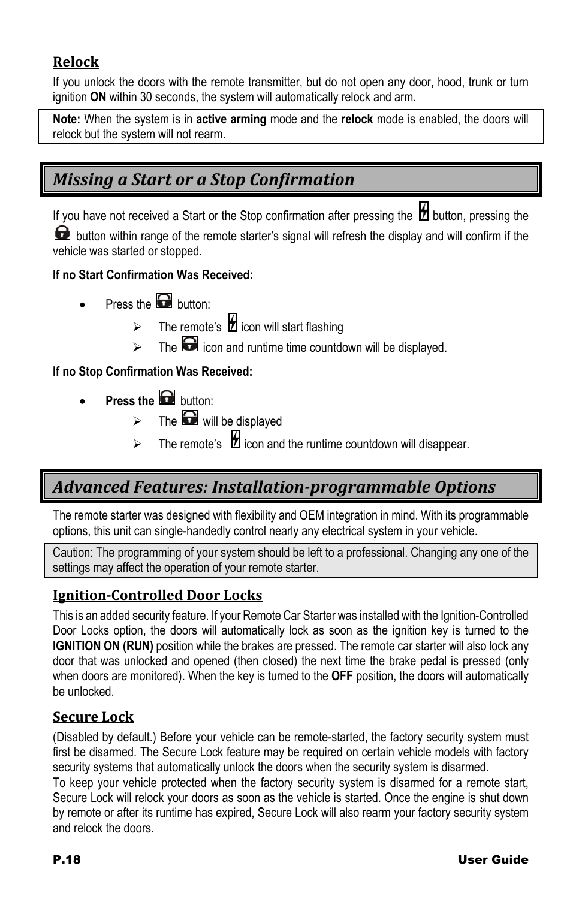#### <span id="page-17-0"></span>**Relock**

If you unlock the doors with the remote transmitter, but do not open any door, hood, trunk or turn ignition **ON** within 30 seconds, the system will automatically relock and arm.

**Note:** When the system is in **active arming** mode and the **relock** mode is enabled, the doors will relock but the system will not rearm.

## <span id="page-17-1"></span>*Missing a Start or a Stop Confirmation*

If you have not received a Start or the Stop confirmation after pressing the  $\boxtimes$  button, pressing the **button within range of the remote starter's signal will refresh the display and will confirm if the** vehicle was started or stopped.

#### **If no Start Confirmation Was Received:**

- Press the **button:** 
	- $\triangleright$  The remote's  $\bigcirc$  icon will start flashing
	- $\triangleright$  The  $\blacksquare$  icon and runtime time countdown will be displayed.

#### **If no Stop Confirmation Was Received:**

- **Press the** button:
	- $\triangleright$  The  $\bigodot$  will be displayed
	- $\triangleright$  The remote's  $\blacksquare$  icon and the runtime countdown will disappear.

## <span id="page-17-2"></span>*Advanced Features: Installation-programmable Options*

The remote starter was designed with flexibility and OEM integration in mind. With its programmable options, this unit can single-handedly control nearly any electrical system in your vehicle.

Caution: The programming of your system should be left to a professional. Changing any one of the settings may affect the operation of your remote starter.

#### <span id="page-17-3"></span>**Ignition-Controlled Door Locks**

This is an added security feature. If your Remote Car Starter was installed with the Ignition-Controlled Door Locks option, the doors will automatically lock as soon as the ignition key is turned to the **IGNITION ON (RUN)** position while the brakes are pressed. The remote car starter will also lock any door that was unlocked and opened (then closed) the next time the brake pedal is pressed (only when doors are monitored). When the key is turned to the **OFF** position, the doors will automatically be unlocked.

#### <span id="page-17-4"></span>**Secure Lock**

(Disabled by default.) Before your vehicle can be remote-started, the factory security system must first be disarmed. The Secure Lock feature may be required on certain vehicle models with factory security systems that automatically unlock the doors when the security system is disarmed.

To keep your vehicle protected when the factory security system is disarmed for a remote start, Secure Lock will relock your doors as soon as the vehicle is started. Once the engine is shut down by remote or after its runtime has expired, Secure Lock will also rearm your factory security system and relock the doors.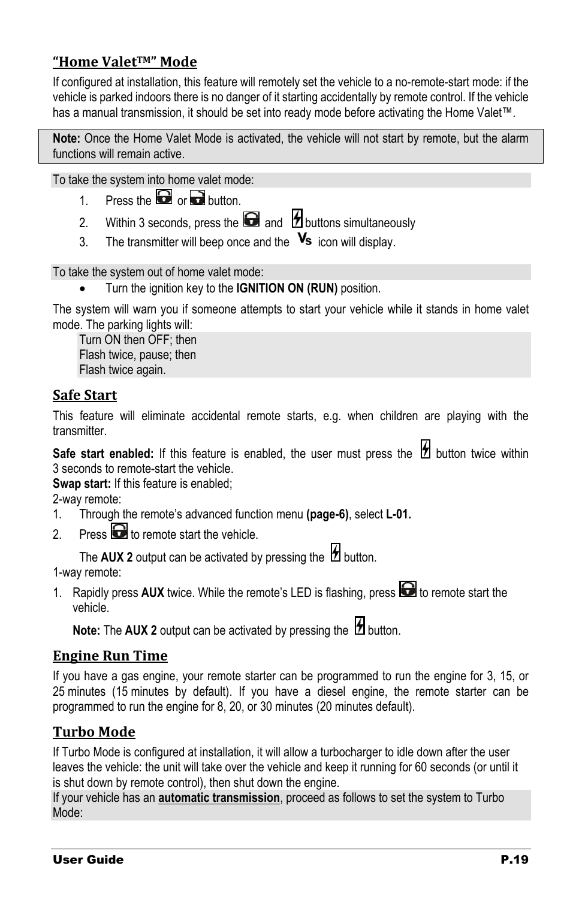#### <span id="page-18-0"></span>**"Home ValetTM" Mode**

If configured at installation, this feature will remotely set the vehicle to a no-remote-start mode: if the vehicle is parked indoors there is no danger of it starting accidentally by remote control. If the vehicle has a manual transmission, it should be set into ready mode before activating the Home Valet™.

**Note:** Once the Home Valet Mode is activated, the vehicle will not start by remote, but the alarm functions will remain active.

To take the system into home valet mode:

- 1. Press the  $\bigodot$  or  $\bigodot$  button.
- 2. Within 3 seconds, press the  $\bigodot$  and  $\bigcirc$  buttons simultaneously
- 3. The transmitter will beep once and the  $\mathbf{V}_s$  icon will display.

To take the system out of home valet mode:

• Turn the ignition key to the **IGNITION ON (RUN)** position.

The system will warn you if someone attempts to start your vehicle while it stands in home valet mode. The parking lights will:

Turn ON then OFF; then Flash twice, pause; then Flash twice again.

#### <span id="page-18-1"></span>**Safe Start**

This feature will eliminate accidental remote starts, e.g. when children are playing with the transmitter.

Safe start enabled: If this feature is enabled, the user must press the **1** button twice within 3 seconds to remote-start the vehicle.

**Swap start:** If this feature is enabled;

2-way remote:

- 1. Through the remote's advanced function menu **(page-6)**, select **L-01.**
- 2. Press  $\bigodot$  to remote start the vehicle.

The AUX 2 output can be activated by pressing the  $\mathcal B$  button.

1-way remote:

1. Rapidly press AUX twice. While the remote's LED is flashing, press **to** to remote start the vehicle.

**Note:** The **AUX** 2 output can be activated by pressing the *H* button.

#### <span id="page-18-2"></span>**Engine Run Time**

If you have a gas engine, your remote starter can be programmed to run the engine for 3, 15, or 25 minutes (15 minutes by default). If you have a diesel engine, the remote starter can be programmed to run the engine for 8, 20, or 30 minutes (20 minutes default).

#### <span id="page-18-3"></span>**Turbo Mode**

If Turbo Mode is configured at installation, it will allow a turbocharger to idle down after the user leaves the vehicle: the unit will take over the vehicle and keep it running for 60 seconds (or until it is shut down by remote control), then shut down the engine.

If your vehicle has an **automatic transmission**, proceed as follows to set the system to Turbo Mode: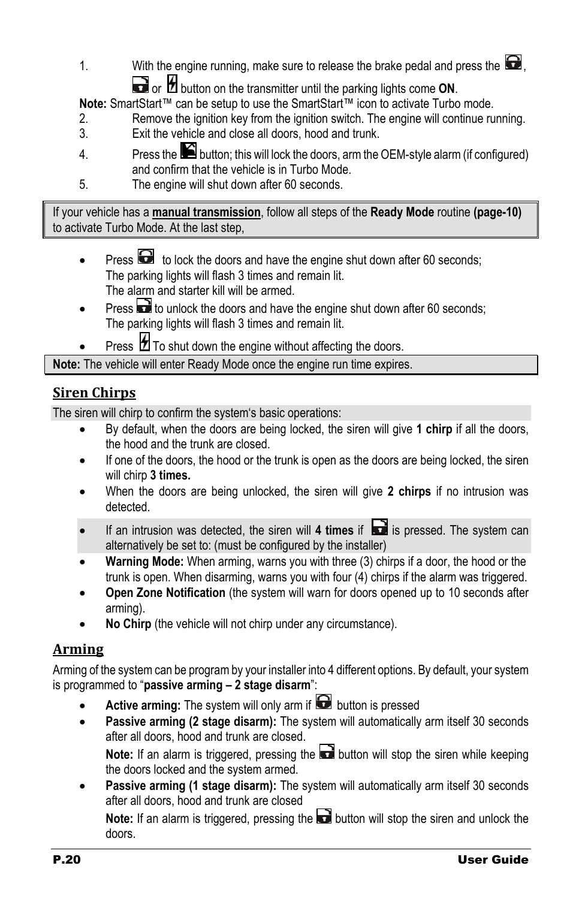1. With the engine running, make sure to release the brake pedal and press the  $\Box$ , or **b** button on the transmitter until the parking lights come **ON**.

**Note:** SmartStart™ can be setup to use the SmartStart™ icon to activate Turbo mode.

- 2. Remove the ignition key from the ignition switch. The engine will continue running.
- 3. Exit the vehicle and close all doors, hood and trunk.
- 4. Press the **button**; this will lock the doors, arm the OEM-style alarm (if configured) and confirm that the vehicle is in Turbo Mode.
- 5. The engine will shut down after 60 seconds.

If your vehicle has a **manual transmission**, follow all steps of the **Ready Mode** routine **(pag[e-10\)](#page-9-1)** to activate Turbo Mode. At the last step,

- Press  $\bullet$  to lock the doors and have the engine shut down after 60 seconds; The parking lights will flash 3 times and remain lit. The alarm and starter kill will be armed.
- Press **the** to unlock the doors and have the engine shut down after 60 seconds; The parking lights will flash 3 times and remain lit.
- Press  $\sharp$  To shut down the engine without affecting the doors.

**Note:** The vehicle will enter Ready Mode once the engine run time expires.

#### <span id="page-19-0"></span>**Siren Chirps**

The siren will chirp to confirm the system's basic operations:

- By default, when the doors are being locked, the siren will give **1 chirp** if all the doors, the hood and the trunk are closed.
- If one of the doors, the hood or the trunk is open as the doors are being locked, the siren will chirp **3 times.**
- When the doors are being unlocked, the siren will give **2 chirps** if no intrusion was detected.
- If an intrusion was detected, the siren will 4 times if **in the system can** is pressed. The system can alternatively be set to: (must be configured by the installer)
- **Warning Mode:** When arming, warns you with three (3) chirps if a door, the hood or the trunk is open. When disarming, warns you with four (4) chirps if the alarm was triggered.
- **Open Zone Notification** (the system will warn for doors opened up to 10 seconds after arming).
- **No Chirp** (the vehicle will not chirp under any circumstance).

#### <span id="page-19-1"></span>**Arming**

Arming of the system can be program by your installer into 4 different options. By default, your system is programmed to "**passive arming – 2 stage disarm**":

- **Active arming:** The system will only arm if **button** is pressed
- **Passive arming (2 stage disarm):** The system will automatically arm itself 30 seconds after all doors, hood and trunk are closed. **Note:** If an alarm is triggered, pressing the **button will stop the siren while keeping** the doors locked and the system armed.
- **Passive arming (1 stage disarm):** The system will automatically arm itself 30 seconds after all doors, hood and trunk are closed

**Note:** If an alarm is triggered, pressing the **button will stop the siren and unlock the** doors.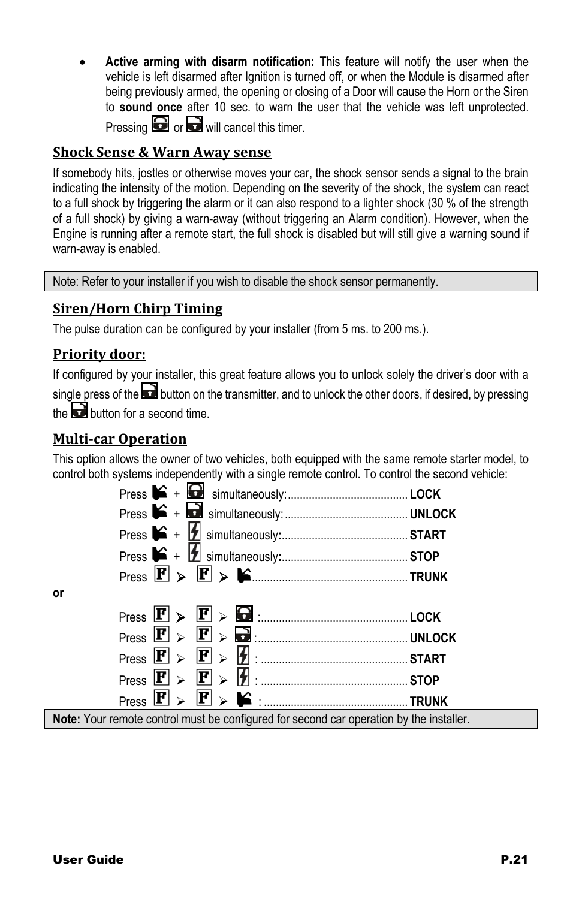• **Active arming with disarm notification:** This feature will notify the user when the vehicle is left disarmed after Ignition is turned off, or when the Module is disarmed after being previously armed, the opening or closing of a Door will cause the Horn or the Siren to **sound once** after 10 sec. to warn the user that the vehicle was left unprotected. Pressing  $\bigodot$  or  $\bigodot$  will cancel this timer.

#### <span id="page-20-0"></span>**Shock Sense & Warn Away sense**

If somebody hits, jostles or otherwise moves your car, the shock sensor sends a signal to the brain indicating the intensity of the motion. Depending on the severity of the shock, the system can react to a full shock by triggering the alarm or it can also respond to a lighter shock (30 % of the strength of a full shock) by giving a warn-away (without triggering an Alarm condition). However, when the Engine is running after a remote start, the full shock is disabled but will still give a warning sound if warn-away is enabled.

Note: Refer to your installer if you wish to disable the shock sensor permanently.

#### <span id="page-20-1"></span>**Siren/Horn Chirp Timing**

The pulse duration can be configured by your installer (from 5 ms. to 200 ms.).

#### <span id="page-20-2"></span>**Priority door:**

If configured by your installer, this great feature allows you to unlock solely the driver's door with a single press of the **button on the transmitter**, and to unlock the other doors, if desired, by pressing the **button** for a second time.

#### <span id="page-20-3"></span>**Multi-car Operation**

This option allows the owner of two vehicles, both equipped with the same remote starter model, to control both systems independently with a single remote control. To control the second vehicle:

| $Press \times \mathbf{F} > \mathbf{E}$ $\triangleright$ $\blacksquare$ |  |
|------------------------------------------------------------------------|--|
|                                                                        |  |
|                                                                        |  |
| $Press \times P$ > $\blacksquare$ > $\blacksquare$ = $\blacksquare$    |  |
|                                                                        |  |
|                                                                        |  |
|                                                                        |  |
| $\sim$ $\sim$ $\sim$ $\sim$ $\sim$                                     |  |

**Note:** Your remote control must be configured for second car operation by the installer.

**or**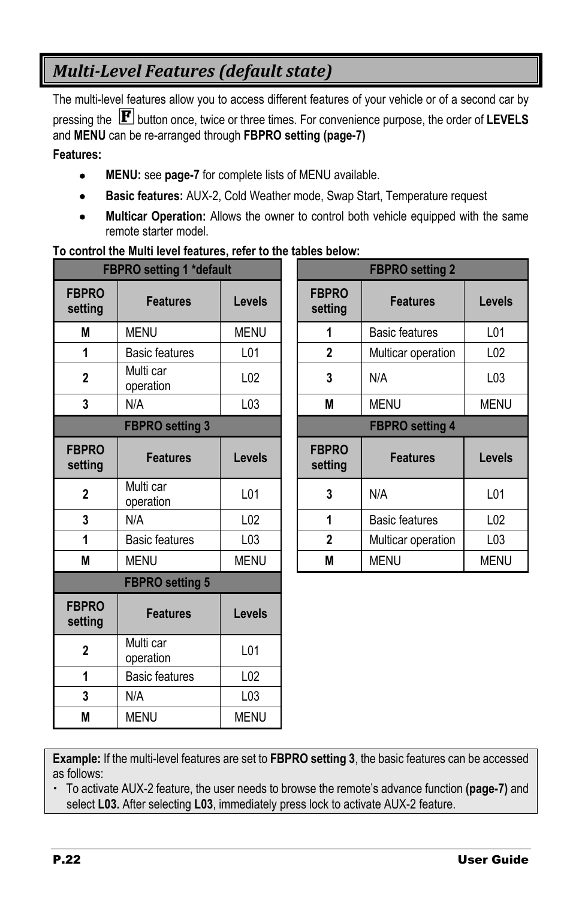## <span id="page-21-0"></span>*Multi-Level Features (default state)*

The multi-level features allow you to access different features of your vehicle or of a second car by pressing the **P** button once, twice or three times. For convenience purpose, the order of LEVELS and **MENU** can be re-arranged through **FBPRO setting (page[-7\)](#page-6-1)**

**Features:**

- **MENU:** see **page[-7](#page-6-0)** for complete lists of MENU available.
- **Basic features:** AUX-2, Cold Weather mode, Swap Start, Temperature request
- **Multicar Operation:** Allows the owner to control both vehicle equipped with the same remote starter model.

#### **To control the Multi level features, refer to the tables below:**

|                         | <b>FBPRO setting 1 *default</b> |                 | <b>FBPRO</b> setting 2  |                       |
|-------------------------|---------------------------------|-----------------|-------------------------|-----------------------|
| <b>FBPRO</b><br>setting | <b>Features</b>                 | <b>Levels</b>   | <b>FBPRO</b><br>setting | <b>Features</b>       |
| М                       | <b>MENU</b>                     | <b>MENU</b>     | 1                       | Basic features        |
| 1                       | <b>Basic features</b>           | L <sub>01</sub> | $\overline{2}$          | Multicar operation    |
| $\overline{2}$          | Multi car<br>operation          | L <sub>02</sub> | 3                       | N/A                   |
| 3                       | N/A                             | L <sub>03</sub> | M                       | <b>MENU</b>           |
|                         | <b>FBPRO setting 3</b>          |                 | <b>FBPRO</b> setting 4  |                       |
| <b>FBPRO</b><br>setting | <b>Features</b>                 | <b>Levels</b>   | <b>FBPRO</b><br>setting | <b>Features</b>       |
| 2                       | Multi car<br>operation          | L <sub>01</sub> | 3                       | N/A                   |
| 3                       | N/A                             | L <sub>02</sub> | 1                       | <b>Basic features</b> |
| 1                       | <b>Basic features</b>           | L <sub>03</sub> | $\mathbf{2}$            | Multicar operation    |
| M                       | <b>MENU</b>                     | <b>MENU</b>     | M                       | <b>MENU</b>           |
|                         | <b>FBPRO setting 5</b>          |                 |                         |                       |
| <b>FBPRO</b><br>setting | <b>Features</b>                 | Levels          |                         |                       |
| $\mathbf{2}$            | Multi car<br>operation          | L01             |                         |                       |
| 1                       | <b>Basic features</b>           | L <sub>02</sub> |                         |                       |
| 3                       | N/A                             | L03             |                         |                       |
| M                       | <b>MENU</b>                     | <b>MENU</b>     |                         |                       |

| <b>FBPRO setting 1 *default</b> |                        |                 | <b>FBPRO setting 2</b>  |                       |                 |  |
|---------------------------------|------------------------|-----------------|-------------------------|-----------------------|-----------------|--|
| <b>PRO</b><br>tting             | <b>Features</b>        | <b>Levels</b>   | <b>FBPRO</b><br>setting | <b>Features</b>       | Levels          |  |
| M                               | <b>MENU</b>            | <b>MENU</b>     | 1                       | <b>Basic features</b> | L01             |  |
| $\mathbf{1}$                    | <b>Basic features</b>  | L01             | $\mathbf{2}$            | Multicar operation    | L <sub>02</sub> |  |
| $\overline{2}$                  | Multi car<br>operation | L <sub>02</sub> | 3                       | N/A                   | L03             |  |
| 3                               | N/A                    | L03             | M                       | <b>MENU</b>           | <b>MENU</b>     |  |
| <b>FBPRO setting 3</b>          |                        |                 | <b>FBPRO setting 4</b>  |                       |                 |  |
| <b>PRO</b><br>tting             | <b>Features</b>        | <b>Levels</b>   | <b>FBPRO</b><br>setting | <b>Features</b>       | Levels          |  |
| $\mathbf 2$                     | Multi car<br>operation | L01             | 3                       | N/A                   | L01             |  |
| 3                               | N/A                    | L <sub>02</sub> | 1                       | <b>Basic features</b> | L <sub>02</sub> |  |
| $\mathbf{1}$                    | <b>Basic features</b>  | L03             | $\mathbf{2}$            | Multicar operation    | L <sub>03</sub> |  |
| M                               | MENU                   | <b>MENU</b>     | M                       | <b>MENU</b>           | <b>MENU</b>     |  |

**Example:** If the multi-level features are set to **FBPRO setting 3**, the basic features can be accessed as follows:

 To activate AUX-2 feature, the user needs to browse the remote's advance function **(page[-7\)](#page-6-1)** and select **L03.** After selecting **L03**, immediately press lock to activate AUX-2 feature.